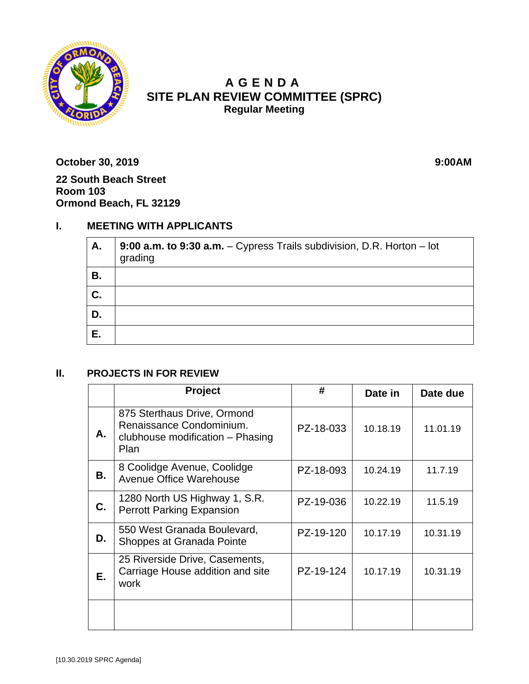

# **A GENDA SITE PLAN REVIEW COMMITTEE (SPRC) Regular Meeting**

**October 30, 2019 9:00AM 22 South Beach Street Room 103 Ormond Beach, FL 32129**

## **I. MEETING WITH APPLICANTS**

| A. | 9:00 a.m. to 9:30 a.m. - Cypress Trails subdivision, D.R. Horton - lot<br>grading |
|----|-----------------------------------------------------------------------------------|
| В. |                                                                                   |
| C. |                                                                                   |
| D. |                                                                                   |
| Е. |                                                                                   |

#### **II. PROJECTS IN FOR REVIEW**

|    | Project                                                                                                    | #         | Date in  | Date due |
|----|------------------------------------------------------------------------------------------------------------|-----------|----------|----------|
| А. | 875 Sterthaus Drive, Ormond<br>Renaissance Condominium.<br>clubhouse modification - Phasing<br><b>Plan</b> | PZ-18-033 | 10.18.19 | 11.01.19 |
| В. | 8 Coolidge Avenue, Coolidge<br>Avenue Office Warehouse                                                     | PZ-18-093 | 10.24.19 | 11.7.19  |
| C. | 1280 North US Highway 1, S.R.<br><b>Perrott Parking Expansion</b>                                          | PZ-19-036 | 10.22.19 | 11.5.19  |
| D. | 550 West Granada Boulevard,<br>Shoppes at Granada Pointe                                                   | PZ-19-120 | 10.17.19 | 10.31.19 |
| Е. | 25 Riverside Drive, Casements,<br>Carriage House addition and site<br>work                                 | PZ-19-124 | 10.17.19 | 10.31.19 |
|    |                                                                                                            |           |          |          |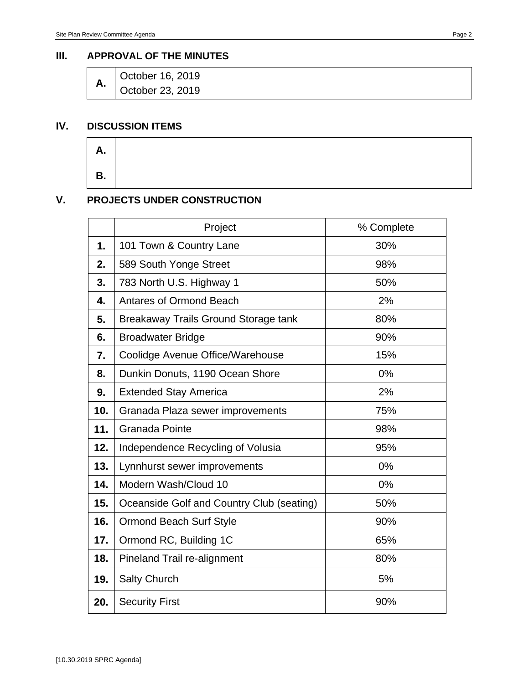#### **III. APPROVAL OF THE MINUTES**

| Α. | October 16, 2019 |
|----|------------------|
|    | October 23, 2019 |

## **IV. DISCUSSION ITEMS**

| <u>љ.</u> |  |
|-----------|--|
|           |  |

### **V. PROJECTS UNDER CONSTRUCTION**

|     | Project                                   | % Complete |
|-----|-------------------------------------------|------------|
| 1.  | 101 Town & Country Lane                   | 30%        |
| 2.  | 589 South Yonge Street                    | 98%        |
| 3.  | 783 North U.S. Highway 1                  | 50%        |
| 4.  | <b>Antares of Ormond Beach</b>            | 2%         |
| 5.  | Breakaway Trails Ground Storage tank      | 80%        |
| 6.  | <b>Broadwater Bridge</b>                  | 90%        |
| 7.  | Coolidge Avenue Office/Warehouse          | 15%        |
| 8.  | Dunkin Donuts, 1190 Ocean Shore           | 0%         |
| 9.  | <b>Extended Stay America</b>              | 2%         |
| 10. | Granada Plaza sewer improvements          | 75%        |
| 11. | <b>Granada Pointe</b>                     | 98%        |
| 12. | Independence Recycling of Volusia         | 95%        |
| 13. | Lynnhurst sewer improvements              | 0%         |
| 14. | Modern Wash/Cloud 10                      | 0%         |
| 15. | Oceanside Golf and Country Club (seating) | 50%        |
| 16. | <b>Ormond Beach Surf Style</b>            | 90%        |
| 17. | Ormond RC, Building 1C                    | 65%        |
| 18. | Pineland Trail re-alignment               | 80%        |
| 19. | <b>Salty Church</b>                       | 5%         |
| 20. | <b>Security First</b>                     | 90%        |